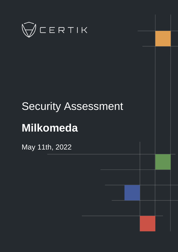

# Security Assessment

## **Milkomeda**

May 11th, 2022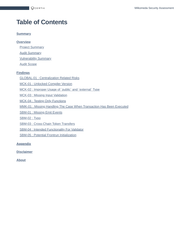## **Table of Contents**

#### **[Summary](#page-2-0)**

#### **[Overview](#page-3-0)**

**[Project Summary](#page-3-1)** 

**[Audit Summary](#page-3-2)** 

[Vulnerability Summary](#page-3-3)

[Audit Scope](#page-4-0)

#### **[Findings](#page-5-0)**

[GLOBAL-01 : Centralization Related Risks](#page-6-0)

[MCK-01 : Unlocked Compiler Version](#page-14-0)

[MCK-02 : Improper Usage of `public` and `external` Type](#page-15-0)

[MCK-03 : Missing Input Validation](#page-16-0)

[MCK-04 : Testing Only Functions](#page-17-0)

[MMK-01 : Missing Handling The Case When Transaction Has Been Executed](#page-18-0)

[SBM-01 : Missing Emit Events](#page-19-0)

[SBM-02 : Typo](#page-20-0)

[SBM-03 : Cross-Chain Token Transfers](#page-21-0)

[SBM-04 : Intended Functionality For Validator](#page-22-0)

[SBM-05 : Potential Frontrun Initialization](#page-23-0)

#### **[Appendix](#page-24-0)**

**[Disclaimer](#page-26-0)**

**[About](#page-29-0)**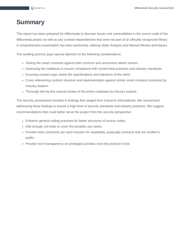## <span id="page-2-0"></span>**Summary**

This report has been prepared for Milkomeda to discover issues and vulnerabilities in the source code of the Milkomeda project as well as any contract dependencies that were not part of an officially recognized library. A comprehensive examination has been performed, utilizing Static Analysis and Manual Review techniques.

The auditing process pays special attention to the following considerations:

- Testing the smart contracts against both common and uncommon attack vectors.
- Assessing the codebase to ensure compliance with current best practices and industry standards.
- Ensuring contract logic meets the specifications and intentions of the client.
- Cross referencing contract structure and implementation against similar smart contracts produced by industry leaders.
- Thorough line-by-line manual review of the entire codebase by industry experts.

The security assessment resulted in findings that ranged from critical to informational. We recommend addressing these findings to ensure a high level of security standards and industry practices. We suggest recommendations that could better serve the project from the security perspective:

- Enhance general coding practices for better structures of source codes;
- Add enough unit tests to cover the possible use cases;
- Provide more comments per each function for readability, especially contracts that are verified in public;
- Provide more transparency on privileged activities once the protocol is live.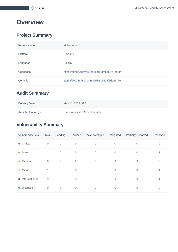## <span id="page-3-0"></span>**Overview**

## <span id="page-3-1"></span>**Project Summary**

| <b>Project Name</b> | Milkomeda                                       |
|---------------------|-------------------------------------------------|
| Platform            | Cardano                                         |
| Language            | Solidity                                        |
| Codebase            | https://github.com/dcSpark/milkomeda-validator/ |
| Commit              | 1a8c6f20c73c7817c448c658f8bc502f6daa6776        |

## <span id="page-3-2"></span>**Audit Summary**

| <b>Delivery Date</b> | May 11, 2022 UTC               |
|----------------------|--------------------------------|
| Audit Methodology    | Static Analysis, Manual Review |

## <span id="page-3-3"></span>**Vulnerability Summary**

| <b>Vulnerability Level</b> | Total        | Pending     | Declined    | Acknowledged | Mitigated   | <b>Partially Resolved</b> | Resolved |
|----------------------------|--------------|-------------|-------------|--------------|-------------|---------------------------|----------|
| $\bullet$ Critical         | $\mathbf 0$  | $\mathbf 0$ | $\mathbf 0$ | $\Omega$     | $\mathbf 0$ | 0                         | 0        |
| Major<br>$\bullet$         | $\mathbf{1}$ | $\mathbf 0$ | $\mathbf 0$ | $\Omega$     | $\mathbf 0$ | $\Omega$                  |          |
| Medium<br>$\bullet$        | $\mathbf 0$  | $\mathbf 0$ | $\mathbf 0$ | $\mathbf 0$  | $\mathbf 0$ | $\overline{0}$            | 0        |
| Minor<br>$\bullet$         | $\mathbf{1}$ | $\mathbf 0$ | $\mathbf 0$ | $\mathbf{0}$ | $\mathbf 0$ | $\Omega$                  | 1        |
| Informational<br>$\bullet$ | 9            | $\mathbf 0$ | $\mathbf 0$ | 8            | $\mathbf 0$ | $\mathbf 0$               | 1        |
| <b>Discussion</b>          | 0            | $\mathbf 0$ | 0           | $\Omega$     | 0           | $\Omega$                  | 0        |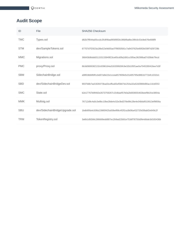## <span id="page-4-0"></span>**Audit Scope**

| ID         | File                           | SHA256 Checksum                                                  |
|------------|--------------------------------|------------------------------------------------------------------|
| <b>TMC</b> | Types.sol                      | d82b7ff044a05ccdc2fc8f4bad956f6f2b196bf8a8bc39fc0c53c8eb76e688f9 |
| <b>STM</b> | dev/SampleTokens.sol           | 67707d7f2923a18bd13e9d55acf7f9050581c7a9437625e90f2b038f7d29729b |
| <b>MMC</b> | Migrations.sol                 | 36843b9bddd31153133949f23ce65cd0fa2d91cc5f0ac36298ba07d39de7fecd |
| <b>PMC</b> | proxy/Proxy.sol                | 8b3d0806382132c6396164a316339926fc9e32b105f1ae0a7045280416ee7d3f |
| <b>SBM</b> | SidechainBridge.sol            | a98f2db68fdf1cbd07a9e22e1ccea657809e5c01d05795e9861b772efc1032e1 |
| <b>SBD</b> | dev/SidechainBridgeDev.sol     | 9937b8b7ad1928473bad3ceffea65ef0b67dc254a32a52d3988d90ac14cbf253 |
| <b>SMC</b> | State.sol                      | b2e17767b9f492e2673759267c154baef57b0a2b693655463beef9b1fce3854a |
| <b>MMK</b> | Multisig.sol                   | 76712d9c4a5c3e8bc10be28de4c52e3bd378e98c28e4e34bfa9510613ef9856a |
| <b>SBU</b> | dev/SidechainBridgeUpgrade.sol | 1bdb95fa4c508a13985f425a50bef89c4f2f2ca3b06a432720d38abf2e649c2f |
| <b>TRM</b> | TokenRegistry.sol              | 3a6b1d92b8c286668edd887ec2b9ad22b91e753df78755d0fe4dbde3d165436b |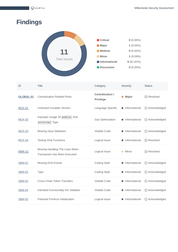## <span id="page-5-0"></span>**Findings**



| ID            | <b>Title</b>                                                           | Category                                    | Severity        | <b>Status</b>                       |
|---------------|------------------------------------------------------------------------|---------------------------------------------|-----------------|-------------------------------------|
| GLOBAL-01     | <b>Centralization Related Risks</b>                                    | <b>Centralization /</b><br><b>Privilege</b> | Major           | ⊙ Resolved                          |
| MCK-01        | Unlocked Compiler Version                                              | Language Specific                           | • Informational | (i) Acknowledged                    |
| <b>MCK-02</b> | Improper Usage Of public And<br>external Type                          | <b>Gas Optimization</b>                     | Informational   | (i) Acknowledged                    |
| $MCK-03$      | Missing Input Validation                                               | <b>Volatile Code</b>                        | Informational   | <b>(i)</b> Acknowledged             |
| $MCK-04$      | <b>Testing Only Functions</b>                                          | Logical Issue                               | Informational   | $\oslash$ Resolved                  |
| <b>MMK-01</b> | Missing Handling The Case When<br><b>Transaction Has Been Executed</b> | Logical Issue                               | Minor           | $\oslash$ Resolved                  |
| <b>SBM-01</b> | <b>Missing Emit Events</b>                                             | Coding Style                                | Informational   | <b><i><u>O</u></i></b> Acknowledged |
| <b>SBM-02</b> | <b>Typo</b>                                                            | <b>Coding Style</b>                         | Informational   | <b>(i)</b> Acknowledged             |
| <b>SBM-03</b> | Cross-Chain Token Transfers                                            | <b>Volatile Code</b>                        | Informational   | (i) Acknowledged                    |
| <b>SBM-04</b> | Intended Functionality For Validator                                   | <b>Volatile Code</b>                        | Informational   | <b>(i)</b> Acknowledged             |
| <b>SBM-05</b> | Potential Frontrun Initialization                                      | Logical Issue                               | Informational   | <b>(i)</b> Acknowledged             |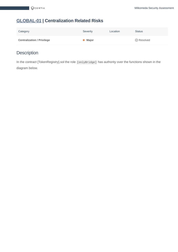## <span id="page-6-0"></span>**[GLOBAL-01](https://acc.audit.certikpowered.info/project/48bed400-7a2f-11ec-a093-37df8c663349/report?fid=1644553116770) | Centralization Related Risks**

| Category                          | Severity        | Location | <b>Status</b>      |
|-----------------------------------|-----------------|----------|--------------------|
| <b>Centralization / Privilege</b> | $\bullet$ Major |          | $\oslash$ Resolved |

## **Description**

In the contract [TokenRegistry].sol the role [onlyBridge] has authority over the functions shown in the diagram below.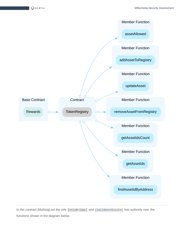

In the contract [Multisig].sol the role [onlyBridge] and [validatorExists] has authority over the functions shown in the diagram below.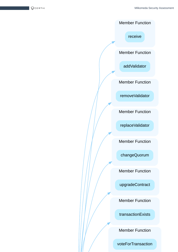$QC$ ERTIK

Member Function

receive

Member Function

addValidator

Member Function

removeValidator

Member Function

replaceValidator

Member Function

changeQuorum

Member Function

upgradeContract

Member Function

transactionExists

Member Function

voteForTransaction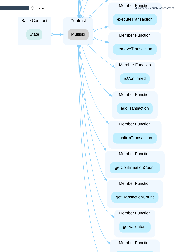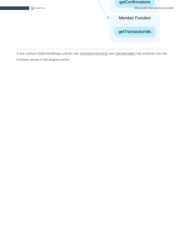$QC$ ERTIK

#### getConfirmations

Milkomeda Security Assessment

Member Function

getTransactionIds

In the contract [SidechainBridge.sol] the role [validatorExists] and [onlyBridge] has authority over the functions shown in the diagram below.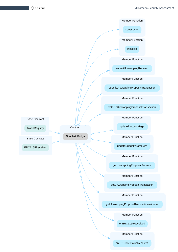$\bigotimes$ CERTIK

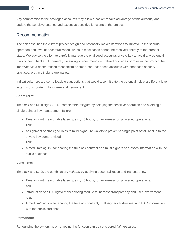Any compromise to the privileged accounts may allow a hacker to take advantage of this authority and update the sensitive settings and executive sensitive functions of the project.

#### Recommendation

The risk describes the current project design and potentially makes iterations to improve in the security operation and level of decentralization, which in most cases cannot be resolved entirely at the present stage. We advise the client to carefully manage the privileged account's private key to avoid any potential risks of being hacked. In general, we strongly recommend centralized privileges or roles in the protocol be improved via a decentralized mechanism or smart-contract-based accounts with enhanced security practices, e.g., multi-signature wallets.

Indicatively, here are some feasible suggestions that would also mitigate the potential risk at a different level in terms of short-term, long-term and permanent:

#### **Short Term:**

Timelock and Multi sign (⅔, ⅗) combination *mitigate* by delaying the sensitive operation and avoiding a single point of key management failure.

- Time-lock with reasonable latency, e.g., 48 hours, for awareness on privileged operations; AND
- Assignment of privileged roles to multi-signature wallets to prevent a single point of failure due to the private key compromised;

AND

A medium/blog link for sharing the timelock contract and multi-signers addresses information with the public audience.

#### **Long Term:**

Timelock and DAO, the combination, *mitigate* by applying decentralization and transparency.

- Time-lock with reasonable latency, e.g., 48 hours, for awareness on privileged operations; AND
- Introduction of a DAO/governance/voting module to increase transparency and user involvement; AND
- A medium/blog link for sharing the timelock contract, multi-signers addresses, and DAO information with the public audience.

#### **Permanent:**

Renouncing the ownership or removing the function can be considered *fully resolved*.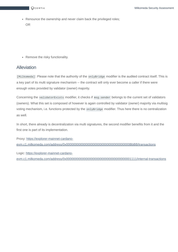

• Renounce the ownership and never claim back the privileged roles; OR

• Remove the risky functionality.

#### Alleviation

[Milkomeda] : Please note that the authority of the onlyBridge modifier is the audited contract itself. This is a key part of its multi signature mechanism -- the contract will only ever become a caller if there were enough votes provided by validator (owner) majority.

Concerning the validatorExists modifier, it checks if msg. sender belongs to the current set of validators (owners). What this set is composed of however is again controlled by validator (owner) majority via multisig voting mechanism, i.e. functions protected by the onlyBridge modifier. Thus here there is no centralization as well.

In short, there already is decentralization via multi signatures, the second modifier benefits from it and the first one is part of its implementation.

Proxy: https://explorer-mainnet-cardano[evm.c1.milkomeda.com/address/0x000000000000000000000000000000000000BbBB/transactions](https://explorer-mainnet-cardano-evm.c1.milkomeda.com/address/0x000000000000000000000000000000000000BbBB/transactions)

Logic: https://explorer-mainnet-cardano[evm.c1.milkomeda.com/address/0x0000000000000000000000000000000000001111/internal-transactions](https://explorer-mainnet-cardano-evm.c1.milkomeda.com/address/0x0000000000000000000000000000000000001111/internal-transactions)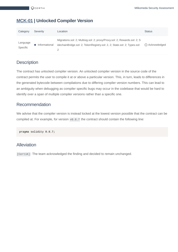#### <span id="page-14-0"></span>**[MCK-01](https://acc.audit.certikpowered.info/project/48bed400-7a2f-11ec-a093-37df8c663349/report?fid=1644497174053) | Unlocked Compiler Version**

| Category             | Severity      | Location                                                                                                                                              | <b>Status</b>    |
|----------------------|---------------|-------------------------------------------------------------------------------------------------------------------------------------------------------|------------------|
| Language<br>Specific | Informational | Migrations.sol: 2; Multisig.sol: 2; proxy/Proxy.sol: 2; Rewards.sol: 2; S<br>idechainBridge.sol: 2; TokenRegistry.sol: 2, 2; State.sol: 2; Types.sol: | (i) Acknowledged |

#### **Description**

The contract has unlocked compiler version. An unlocked compiler version in the source code of the contract permits the user to compile it at or above a particular version. This, in turn, leads to differences in the generated bytecode between compilations due to differing compiler version numbers. This can lead to an ambiguity when debugging as compiler specific bugs may occur in the codebase that would be hard to identify over a span of multiple compiler versions rather than a specific one.

#### Recommendation

We advise that the compiler version is instead locked at the lowest version possible that the contract can be compiled at. For example, for version v0.8.7 the contract should contain the following line:

pragma solidity 0.8.7;

#### Alleviation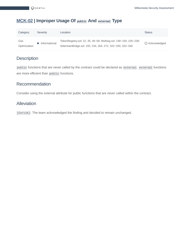#### <span id="page-15-0"></span>**[MCK-02](https://acc.audit.certikpowered.info/project/48bed400-7a2f-11ec-a093-37df8c663349/report?fid=16445083400440) | Improper Usage Of public And external Type**

| Category     | Severity      | Location                                                          | <b>Status</b>    |
|--------------|---------------|-------------------------------------------------------------------|------------------|
| Gas          | Informational | TokenRegistry.sol: 22, 35, 46~56; Multisig.sol: 148~150, 226~238; | (i) Acknowledged |
| Optimization |               | SidechainBridge.sol: 155, 234, 264, 272, 322~330, 332~340         |                  |

#### **Description**

public functions that are never called by the contract could be declared as external. external functions are more efficient than public functions.

#### Recommendation

Consider using the external attribute for public functions that are never called within the contract.

#### Alleviation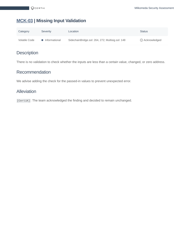## <span id="page-16-0"></span>**[MCK-03](https://acc.audit.certikpowered.info/project/48bed400-7a2f-11ec-a093-37df8c663349/report?fid=1644532948604) | Missing Input Validation**

| Category      | Severity        | Location                                         | <b>Status</b>    |
|---------------|-----------------|--------------------------------------------------|------------------|
| Volatile Code | • Informational | SidechainBridge.sol: 264, 272; Multisig.sol: 148 | (i) Acknowledged |

## **Description**

There is no validation to check whether the inputs are less than a certain value, changed, or zero address.

#### Recommendation

We advise adding the check for the passed-in values to prevent unexpected error.

#### Alleviation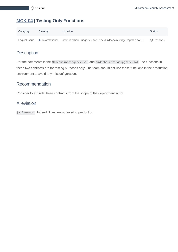#### <span id="page-17-0"></span>**[MCK-04](https://acc.audit.certikpowered.info/project/48bed400-7a2f-11ec-a093-37df8c663349/report?fid=1644552064368) | Testing Only Functions**

| Category      | Severity        | Location                                                         | <b>Status</b>      |
|---------------|-----------------|------------------------------------------------------------------|--------------------|
| Logical Issue | • Informational | dev/SidechainBridgeDev.sol: 6; dev/SidechainBridgeUpgrade.sol: 6 | $\oslash$ Resolved |

#### **Description**

Per the comments in the SidechainBridgeDev.sol and SidechainBridgeUpgrade.sol, the functions in these two contracts are for testing purposes only. The team should not use these functions in the production environment to avoid any misconfiguration.

#### Recommendation

Consider to exclude these contracts from the scope of the deployment script

#### Alleviation

[Milkomeda]: Indeed. They are not used in production.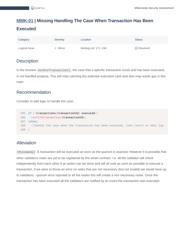## <span id="page-18-0"></span>**[MMK-01](https://acc.audit.certikpowered.info/project/48bed400-7a2f-11ec-a093-37df8c663349/report?fid=1644551356239) | Missing Handling The Case When Transaction Has Been Executed**

| Category      | Severity | Location              | <b>Status</b>      |
|---------------|----------|-----------------------|--------------------|
| Logical Issue | Minor    | Multisig.sol: 171~194 | $\oslash$ Resolved |

#### **Description**

In the function voteForTransaction() , the case that a specific transaction exists and has been executed, is not handled properly. This will miss catching the potential execution case and also may waste gas in this case.

#### Recommendation

Consider to add logic to handle the case:

```
185 if (!transactions[transactionId].executed){
186 confirmTransaction(transactionId);
187 }else{
188 //handle the case when the transaction has been executed, like revert or emit log
189 }
```
#### Alleviation

[Milkomeda] : A transaction will be executed as soon as the quorum is reached. However it is possible that other validators votes are yet to be registered by the smart contract. I.e. all the validator will check independently from each other if an action can be done and will all vote as soon as possible to execute a transaction. If we were to throw an error on votes that are not necessary (but not invalid) we would have up to validators - quorum error reported to all the nodes this will create a non necessary noise. Once the transaction has been executed all the validators are notified by an event the transaction was executed.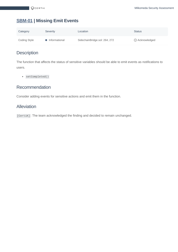## <span id="page-19-0"></span>**[SBM-01](https://acc.audit.certikpowered.info/project/48bed400-7a2f-11ec-a093-37df8c663349/report?fid=1644498266106) | Missing Emit Events**

| Category     | Severity      | Location                      | <b>Status</b>           |
|--------------|---------------|-------------------------------|-------------------------|
| Coding Style | Informational | SidechainBridge.sol: 264, 272 | <b>(i)</b> Acknowledged |

#### **Description**

The function that affects the status of sensitive variables should be able to emit events as notifications to users.

setCompleted()

#### Recommendation

Consider adding events for sensitive actions and emit them in the function.

#### Alleviation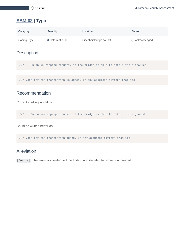## <span id="page-20-0"></span>**[SBM-02](https://acc.audit.certikpowered.info/project/48bed400-7a2f-11ec-a093-37df8c663349/report?fid=1644517700110) | Typo**

| Category     | Severity        | Location                | <b>Status</b>    |
|--------------|-----------------|-------------------------|------------------|
| Coding Style | • Informational | SidechainBridge.sol: 19 | (i) Acknowledged |

#### **Description**

/// On an unwrapping request, if the bridge is able to obtain the signalled

/// vote for the transaction is added. If any argument differs from its

#### Recommendation

Current spelling would be:

```
/// On an unwrapping request, if the bridge is able to obtain the signaled
```
Could be written better as:

/// vote for the transaction added. If any argument differs from its

#### Alleviation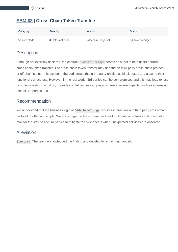#### <span id="page-21-0"></span>**[SBM-03](https://acc.audit.certikpowered.info/project/48bed400-7a2f-11ec-a093-37df8c663349/report?fid=1644520940523) | Cross-Chain Token Transfers**

| Category      | Severity        | Location            | <b>Status</b>         |
|---------------|-----------------|---------------------|-----------------------|
| Volatile Code | • Informational | SidechainBridge.sol | <b>b</b> Acknowledged |

#### **Description**

Although not explicitly declared, the contract SidechainBridge serves as a tool to help users perform cross-chain token transfer. The cross-chain token transfer may depend on third party cross-chain protocol or off-chain scripts. The scope of the audit treats these 3rd party entities as black boxes and assume their functional correctness. However, in the real world, 3rd parties can be compromised and this may lead to lost or stolen assets. In addition, upgrades of 3rd parties can possibly create severe impacts, such as increasing fees of 3rd parties, etc.

#### Recommendation

We understand that the business logic of SidechainBridge requires interaction with third party cross-chain protocol or off-chain scripts. We encourage the team to ensure their functional correctness and constantly monitor the statuses of 3rd parties to mitigate the side effects when unexpected activities are observed.

#### Alleviation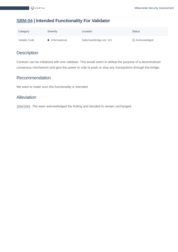#### <span id="page-22-0"></span>**[SBM-04](https://acc.audit.certikpowered.info/project/48bed400-7a2f-11ec-a093-37df8c663349/report?fid=1644533266558) | Intended Functionality For Validator**

| Category      | Severity        | Location                 | <b>Status</b>         |
|---------------|-----------------|--------------------------|-----------------------|
| Volatile Code | • Informational | SidechainBridge.sol: 121 | <b>O</b> Acknowledged |

#### **Description**

Contract can be initialized with one validator. This would seem to defeat the purpose of a decentralized consensus mechanism and give the power to vote to push or stop any transactions through the bridge.

#### Recommendation

We want to make sure this functionality is intended.

#### Alleviation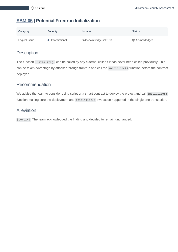#### <span id="page-23-0"></span>**[SBM-05](https://acc.audit.certikpowered.info/project/48bed400-7a2f-11ec-a093-37df8c663349/report?fid=1644552359653) | Potential Frontrun Initialization**

| Category      | Severity        | Location                 | <b>Status</b>  |
|---------------|-----------------|--------------------------|----------------|
| Logical Issue | • Informational | SidechainBridge.sol: 108 | 1 Acknowledged |

#### **Description**

The function initialize() can be called by any external caller if it has never been called previously. This can be taken advantage by attacker through frontrun and call the initialize() function before the contract deployer

#### Recommendation

We advise the team to consider using script or a smart contract to deploy the project and call initialize() function making sure the deployment and initialize() invocation happened in the single one transaction.

#### Alleviation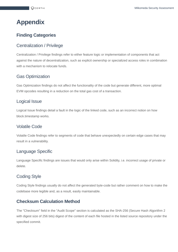## <span id="page-24-0"></span>**Appendix**

#### **Finding Categories**

#### Centralization / Privilege

Centralization / Privilege findings refer to either feature logic or implementation of components that act against the nature of decentralization, such as explicit ownership or specialized access roles in combination with a mechanism to relocate funds.

#### Gas Optimization

Gas Optimization findings do not affect the functionality of the code but generate different, more optimal EVM opcodes resulting in a reduction on the total gas cost of a transaction.

#### Logical Issue

Logical Issue findings detail a fault in the logic of the linked code, such as an incorrect notion on how block.timestamp works.

#### Volatile Code

Volatile Code findings refer to segments of code that behave unexpectedly on certain edge cases that may result in a vulnerability.

#### Language Specific

Language Specific findings are issues that would only arise within Solidity, i.e. incorrect usage of private or delete.

#### Coding Style

Coding Style findings usually do not affect the generated byte-code but rather comment on how to make the codebase more legible and, as a result, easily maintainable.

#### **Checksum Calculation Method**

The "Checksum" field in the "Audit Scope" section is calculated as the SHA-256 (Secure Hash Algorithm 2 with digest size of 256 bits) digest of the content of each file hosted in the listed source repository under the specified commit.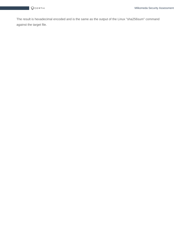The result is hexadecimal encoded and is the same as the output of the Linux "sha256sum" command against the target file.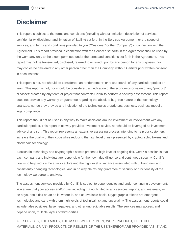## <span id="page-26-0"></span>**Disclaimer**

This report is subject to the terms and conditions (including without limitation, description of services, confidentiality, disclaimer and limitation of liability) set forth in the Services Agreement, or the scope of services, and terms and conditions provided to you ("Customer" or the "Company") in connection with the Agreement. This report provided in connection with the Services set forth in the Agreement shall be used by the Company only to the extent permitted under the terms and conditions set forth in the Agreement. This report may not be transmitted, disclosed, referred to or relied upon by any person for any purposes, nor may copies be delivered to any other person other than the Company, without CertiK's prior written consent in each instance.

This report is not, nor should be considered, an "endorsement" or "disapproval" of any particular project or team. This report is not, nor should be considered, an indication of the economics or value of any "product" or "asset" created by any team or project that contracts CertiK to perform a security assessment. This report does not provide any warranty or guarantee regarding the absolute bug-free nature of the technology analyzed, nor do they provide any indication of the technologies proprietors, business, business model or legal compliance.

This report should not be used in any way to make decisions around investment or involvement with any particular project. This report in no way provides investment advice, nor should be leveraged as investment advice of any sort. This report represents an extensive assessing process intending to help our customers increase the quality of their code while reducing the high level of risk presented by cryptographic tokens and blockchain technology.

Blockchain technology and cryptographic assets present a high level of ongoing risk. CertiK's position is that each company and individual are responsible for their own due diligence and continuous security. CertiK's goal is to help reduce the attack vectors and the high level of variance associated with utilizing new and consistently changing technologies, and in no way claims any guarantee of security or functionality of the technology we agree to analyze.

The assessment services provided by CertiK is subject to dependencies and under continuing development. You agree that your access and/or use, including but not limited to any services, reports, and materials, will be at your sole risk on an as-is, where-is, and as-available basis. Cryptographic tokens are emergent technologies and carry with them high levels of technical risk and uncertainty. The assessment reports could include false positives, false negatives, and other unpredictable results. The services may access, and depend upon, multiple layers of third-parties.

ALL SERVICES, THE LABELS, THE ASSESSMENT REPORT, WORK PRODUCT, OR OTHER MATERIALS, OR ANY PRODUCTS OR RESULTS OF THE USE THEREOF ARE PROVIDED "AS IS" AND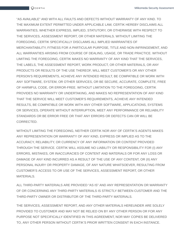"AS AVAILABLE" AND WITH ALL FAULTS AND DEFECTS WITHOUT WARRANTY OF ANY KIND. TO THE MAXIMUM EXTENT PERMITTED UNDER APPLICABLE LAW, CERTIK HEREBY DISCLAIMS ALL WARRANTIES, WHETHER EXPRESS, IMPLIED, STATUTORY, OR OTHERWISE WITH RESPECT TO THE SERVICES, ASSESSMENT REPORT, OR OTHER MATERIALS. WITHOUT LIMITING THE FOREGOING, CERTIK SPECIFICALLY DISCLAIMS ALL IMPLIED WARRANTIES OF MERCHANTABILITY, FITNESS FOR A PARTICULAR PURPOSE, TITLE AND NON-INFRINGEMENT, AND ALL WARRANTIES ARISING FROM COURSE OF DEALING, USAGE, OR TRADE PRACTICE. WITHOUT LIMITING THE FOREGOING, CERTIK MAKES NO WARRANTY OF ANY KIND THAT THE SERVICES, THE LABELS, THE ASSESSMENT REPORT, WORK PRODUCT, OR OTHER MATERIALS, OR ANY PRODUCTS OR RESULTS OF THE USE THEREOF, WILL MEET CUSTOMER'S OR ANY OTHER PERSON'S REQUIREMENTS, ACHIEVE ANY INTENDED RESULT, BE COMPATIBLE OR WORK WITH ANY SOFTWARE, SYSTEM, OR OTHER SERVICES, OR BE SECURE, ACCURATE, COMPLETE, FREE OF HARMFUL CODE, OR ERROR-FREE. WITHOUT LIMITATION TO THE FOREGOING, CERTIK PROVIDES NO WARRANTY OR UNDERTAKING, AND MAKES NO REPRESENTATION OF ANY KIND THAT THE SERVICE WILL MEET CUSTOMER'S REQUIREMENTS, ACHIEVE ANY INTENDED RESULTS, BE COMPATIBLE OR WORK WITH ANY OTHER SOFTWARE, APPLICATIONS, SYSTEMS OR SERVICES, OPERATE WITHOUT INTERRUPTION, MEET ANY PERFORMANCE OR RELIABILITY STANDARDS OR BE ERROR FREE OR THAT ANY ERRORS OR DEFECTS CAN OR WILL BE CORRECTED.

WITHOUT LIMITING THE FOREGOING, NEITHER CERTIK NOR ANY OF CERTIK'S AGENTS MAKES ANY REPRESENTATION OR WARRANTY OF ANY KIND, EXPRESS OR IMPLIED AS TO THE ACCURACY, RELIABILITY, OR CURRENCY OF ANY INFORMATION OR CONTENT PROVIDED THROUGH THE SERVICE. CERTIK WILL ASSUME NO LIABILITY OR RESPONSIBILITY FOR (I) ANY ERRORS, MISTAKES, OR INACCURACIES OF CONTENT AND MATERIALS OR FOR ANY LOSS OR DAMAGE OF ANY KIND INCURRED AS A RESULT OF THE USE OF ANY CONTENT, OR (II) ANY PERSONAL INJURY OR PROPERTY DAMAGE, OF ANY NATURE WHATSOEVER, RESULTING FROM CUSTOMER'S ACCESS TO OR USE OF THE SERVICES, ASSESSMENT REPORT, OR OTHER MATERIALS.

ALL THIRD-PARTY MATERIALS ARE PROVIDED "AS IS" AND ANY REPRESENTATION OR WARRANTY OF OR CONCERNING ANY THIRD-PARTY MATERIALS IS STRICTLY BETWEEN CUSTOMER AND THE THIRD-PARTY OWNER OR DISTRIBUTOR OF THE THIRD-PARTY MATERIALS.

THE SERVICES, ASSESSMENT REPORT, AND ANY OTHER MATERIALS HEREUNDER ARE SOLELY PROVIDED TO CUSTOMER AND MAY NOT BE RELIED ON BY ANY OTHER PERSON OR FOR ANY PURPOSE NOT SPECIFICALLY IDENTIFIED IN THIS AGREEMENT, NOR MAY COPIES BE DELIVERED TO, ANY OTHER PERSON WITHOUT CERTIK'S PRIOR WRITTEN CONSENT IN EACH INSTANCE.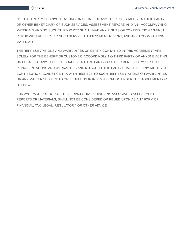NO THIRD PARTY OR ANYONE ACTING ON BEHALF OF ANY THEREOF, SHALL BE A THIRD PARTY OR OTHER BENEFICIARY OF SUCH SERVICES, ASSESSMENT REPORT, AND ANY ACCOMPANYING MATERIALS AND NO SUCH THIRD PARTY SHALL HAVE ANY RIGHTS OF CONTRIBUTION AGAINST CERTIK WITH RESPECT TO SUCH SERVICES, ASSESSMENT REPORT, AND ANY ACCOMPANYING MATERIALS.

THE REPRESENTATIONS AND WARRANTIES OF CERTIK CONTAINED IN THIS AGREEMENT ARE SOLELY FOR THE BENEFIT OF CUSTOMER. ACCORDINGLY, NO THIRD PARTY OR ANYONE ACTING ON BEHALF OF ANY THEREOF, SHALL BE A THIRD PARTY OR OTHER BENEFICIARY OF SUCH REPRESENTATIONS AND WARRANTIES AND NO SUCH THIRD PARTY SHALL HAVE ANY RIGHTS OF CONTRIBUTION AGAINST CERTIK WITH RESPECT TO SUCH REPRESENTATIONS OR WARRANTIES OR ANY MATTER SUBJECT TO OR RESULTING IN INDEMNIFICATION UNDER THIS AGREEMENT OR OTHERWISE.

FOR AVOIDANCE OF DOUBT, THE SERVICES, INCLUDING ANY ASSOCIATED ASSESSMENT REPORTS OR MATERIALS, SHALL NOT BE CONSIDERED OR RELIED UPON AS ANY FORM OF FINANCIAL, TAX, LEGAL, REGULATORY, OR OTHER ADVICE.